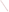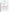## **THE ENVIRONMENTAL TECHNOLOGY VERIFICATION**







# **ETV Joint Verification Statement**

|                                      | TECHNOLOGY TYPE: TUNABLE DIODE LASER (TDL)<br><b>OPEN-PATH MONITOR</b> |                              |                              |
|--------------------------------------|------------------------------------------------------------------------|------------------------------|------------------------------|
| <b>APPLICATION:</b>                  | <b>MONITORING AIR QUALITY</b>                                          |                              |                              |
|                                      | <b>TECHNOLOGY NAME: GasFinder 2.0 TDL Open-Path Monitor</b>            |                              |                              |
| <b>COMPANY:</b>                      | <b>Boreal Laser</b>                                                    |                              |                              |
| <b>ADDRESS:</b>                      | 13, 51127 RR 255<br><b>Spruce Grove</b><br>Alberta, Canada T7Y1A8      | <b>PHONE:</b><br><b>FAX:</b> | 780-987-4382<br>780-987-2418 |
| <b>WEB SITE:</b><br>$E\text{-}MAIL:$ | http://www.boreal-laser.com<br>info@boreal-laser.com                   |                              |                              |

The U.S. Environmental Protection Agency (EPA) has created the Environmental Technology Verification (ETV) Program to facilitate the deployment of innovative or improved environmental technologies through performance verification and dissemination of information. The goal of the ETV Program is to further environmental protection by substantially accelerating the acceptance and use of improved and cost-effective technologies. ETV seeks to achieve this goal by providing high quality, peer reviewed data on technology performance to those involved in the design, distribution, financing, permitting, purchase, and use of environmental technologies.

ETV works in partnership with recognized standards and testing organizations; stakeholder groups which consist of buyers, vendor organizations, and permitters; and with the full participation of individual technology developers. The program evaluates the performance of innovative technologies by developing test plans that are responsive to the needs of stakeholders, conducting field or laboratory tests (as appropriate), collecting and analyzing data, and preparing peer reviewed reports. All evaluations are conducted in accordance with rigorous quality assurance protocols to ensure that data of known and adequate quality are generated and that the results are defensible.

The Advanced Monitoring Systems (AMS) Center, one of 12 technology areas under ETV, is operated by Battelle in cooperation with EPA's National Exposure Research Laboratory. AMS has recently evaluated the performance of optical open-path monitors used to determine pollutants in outdoor air. This verification statement provides a summary of the test results for the Boreal GasFinder 2.0 TDL Open-Path Monitor.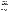#### **VERIFICATION TEST DESCRIPTION**

The verification test described in this report was designed to challenge the GasFinder 2.0 in a manner similar to that which would be experienced in field operations. An optically transparent gas cell filled with known concentrations of a target gas (methane, HF, or ammonia) was inserted into the optical path of the monitor, simulating a condition where the target gas would be present in the ambient air. The monitor was challenged with a target gas, and the resulting measurement was compared to the known concentration of the target gas. The gases were measured in a fixed sequence between April 22 and 28, 2000, at a Battelle outdoor test site near West Jefferson, Ohio.

The target gases were measured at different concentrations, path lengths, integration times, and source intensities to assess the minimum detection limit (MDL), source strength linearity, concentration linearity, accuracy, precision, and sensitivity to atmospheric interferences of the GasFinder 2.0. The MDL was calculated for each target gas by supplying pure nitrogen to the test cell in the optical path of the monitor and taking a series of 25 measurements using an integration time of either 1 or 5 minutes. Source strength linearity was investigated by measuring the effect of reducing the intensity of the light source on the monitor's performance. Concentration linearity was investigated by challenging the monitor with each target gas at concentrations ranging between 25 and 500 ppm. Accuracy and precision of the monitor relative to the gas standards were verified by introducing known concentrations of the target gas into the cell. The effects of atmospheric interfering gases were established by supplying the gas cell with a target gas and varying the distance (path length) between the source and detector.

Quality assurance (QA) oversight of verification testing was provided by Battelle and EPA. Battelle QA staff conducted a technical systems audit and a data quality audit of 10% of the test data. Battelle testing staff conducted a performance evaluation audit, which was reviewed by QA staff. EPA QA staff conducted an independent on-site technical system audit.

### **TECHNOLOGY DESCRIPTION**

The GasFinder 2.0 measures gas concentration over an open path and consists of an integrated transmitter/ receiver unit and a remote, passive retroreflector array. The remote retroreflector is initially targeted by the operator using a two-axis monitor mount, assisted by a telescopic sight and an on-board visible aiming laser. The transceiver houses the laser diode source, drive electronics, detector module, and microcomputer subsystems. The transceiver unit is in a weatherproof enclosure and has connectors for power input and data input/output. The laser light emitted from the transceiver unit propagates through the atmosphere to the retroreflector and returns, where it is focused onto a photodiode detector. Simultaneously, a portion of the laser beam is passed through an onboard gas cell to provide a continuous calibration update. These two optical signals are converted into electrical waveforms, which the microcontroller processes to determine the actual concentration of the target gas along the optical path. The computed gas concentration is then displayed on the back panel of the monitor, as well as transmitted to a central coordinating computer where the data are collected, stored, and displayed. By selecting the appropriate diode laser, the monitor can measure the concentration of methane, ammonia, carbon dioxide, hydrogen sulphide, or hydrogen fluoride in the presence of other gases. Atmospheric gases, such as water vapor, have a negligible effect on the laser system. The self-contained, automatic, self-calibrating monitor can be used as a portable tool, or it can be permanently installed with a path length up to 1,000 meters. It displays average gas concentrations either in parts per million (ppm) or, for low gas concentrations, in parts per million meters (ppm<sup>\*</sup>m). The GasFinder 2.0 weighs 5 kg and measures 26 x 20 x 15 cm (LxWxH) (10.2 x 7.9 x 5.9 inches). It uses 12Vdc power and operates in the range of -30 $\degree$  C to +50 $\degree$  C.

#### **VERIFICATION OF PERFORMANCE**

**Minimum Detection Limit:** The GasFinder 2.0 detection limits were 0.29 to 0.56 ppm\*m for methane. Because the original data were not appropriate for MDL measurements, HF and ammonia were calculated using the